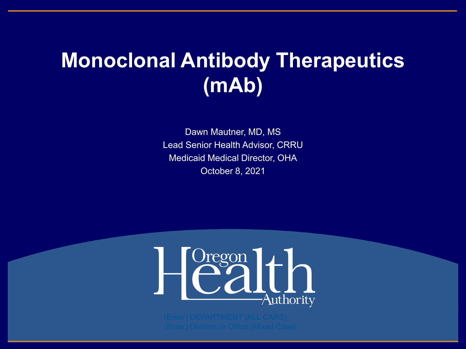### **Monoclonal Antibody Therapeutics (mAb)**

Dawn Mautner, MD, MS Lead Senior Health Advisor, CRRU Medicaid Medical Director, OHA October 8, 2021

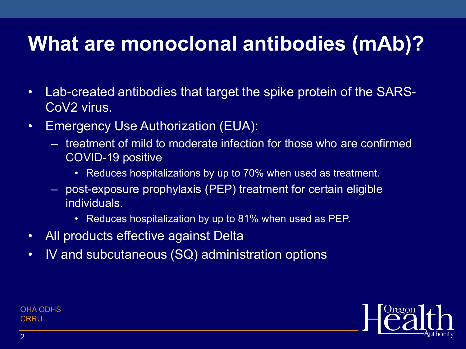### **What are monoclonal antibodies (mAb)?**

- Lab-created antibodies that target the spike protein of the SARS-CoV2 virus.
- Emergency Use Authorization (EUA):
	- treatment of mild to moderate infection for those who are confirmed COVID-19 positive
		- Reduces hospitalizations by up to 70% when used as treatment.
	- post-exposure prophylaxis (PEP) treatment for certain eligible individuals.
		- Reduces hospitalization by up to 81% when used as PEP.
- All products effective against Delta
- IV and subcutaneous (SQ) administration options

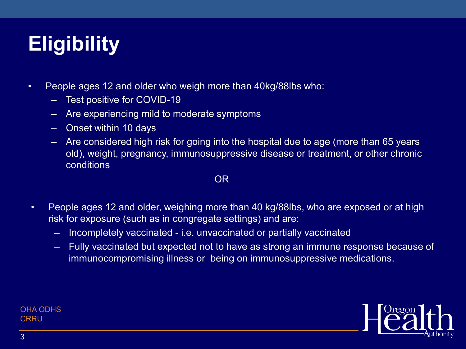# **Eligibility**

- People ages 12 and older who weigh more than 40kg/88lbs who:
	- Test positive for COVID-19
	- Are experiencing mild to moderate symptoms
	- Onset within 10 days
	- Are considered high risk for going into the hospital due to age (more than 65 years old), weight, pregnancy, immunosuppressive disease or treatment, or other chronic conditions

#### OR

- People ages 12 and older, weighing more than 40 kg/88lbs, who are exposed or at high risk for exposure (such as in congregate settings) and are:
	- Incompletely vaccinated i.e. unvaccinated or partially vaccinated
	- Fully vaccinated but expected not to have as strong an immune response because of immunocompromising illness or being on immunosuppressive medications.

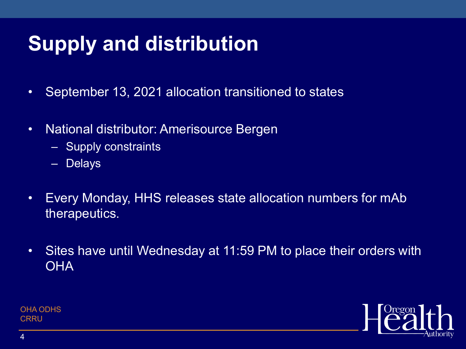# **Supply and distribution**

- September 13, 2021 allocation transitioned to states
- National distributor: Amerisource Bergen
	- Supply constraints
	- Delays
- Every Monday, HHS releases state allocation numbers for mAb therapeutics.
- Sites have until Wednesday at 11:59 PM to place their orders with **OHA**

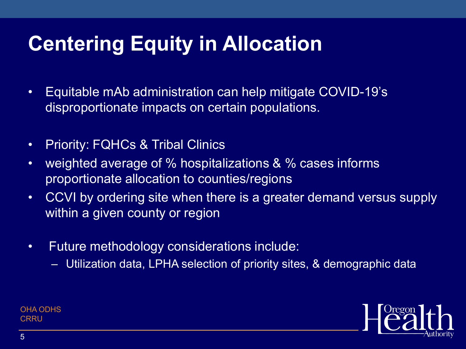# **Centering Equity in Allocation**

- Equitable mAb administration can help mitigate COVID-19's disproportionate impacts on certain populations.
- Priority: FQHCs & Tribal Clinics
- weighted average of % hospitalizations & % cases informs proportionate allocation to counties/regions
- CCVI by ordering site when there is a greater demand versus supply within a given county or region
- Future methodology considerations include:
	- Utilization data, LPHA selection of priority sites, & demographic data

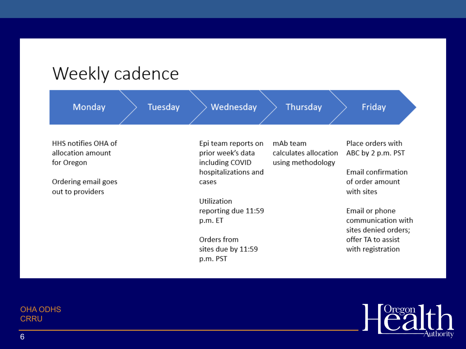#### Weekly cadence

| Monday                                                                                            | Tuesday | Wednesday                                                                                                                                                                                      | Thursday                                               | Friday                                                                                                                                                                                                          |
|---------------------------------------------------------------------------------------------------|---------|------------------------------------------------------------------------------------------------------------------------------------------------------------------------------------------------|--------------------------------------------------------|-----------------------------------------------------------------------------------------------------------------------------------------------------------------------------------------------------------------|
| HHS notifies OHA of<br>allocation amount<br>for Oregon<br>Ordering email goes<br>out to providers |         | Epi team reports on<br>prior week's data<br>including COVID<br>hospitalizations and<br>cases<br>Utilization<br>reporting due 11:59<br>p.m. ET<br>Orders from<br>sites due by 11:59<br>p.m. PST | mAb team<br>calculates allocation<br>using methodology | Place orders with<br>ABC by 2 p.m. PST<br><b>Email confirmation</b><br>of order amount<br>with sites<br>Email or phone<br>communication with<br>sites denied orders;<br>offer TA to assist<br>with registration |

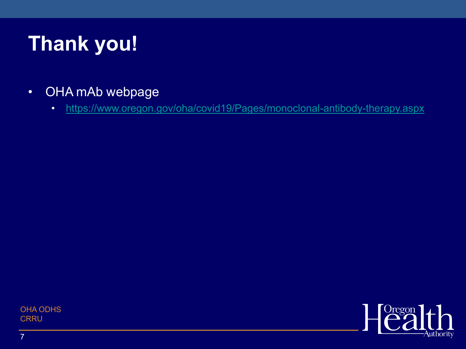# **Thank you!**

- OHA mAb webpage
	- <https://www.oregon.gov/oha/covid19/Pages/monoclonal-antibody-therapy.aspx>